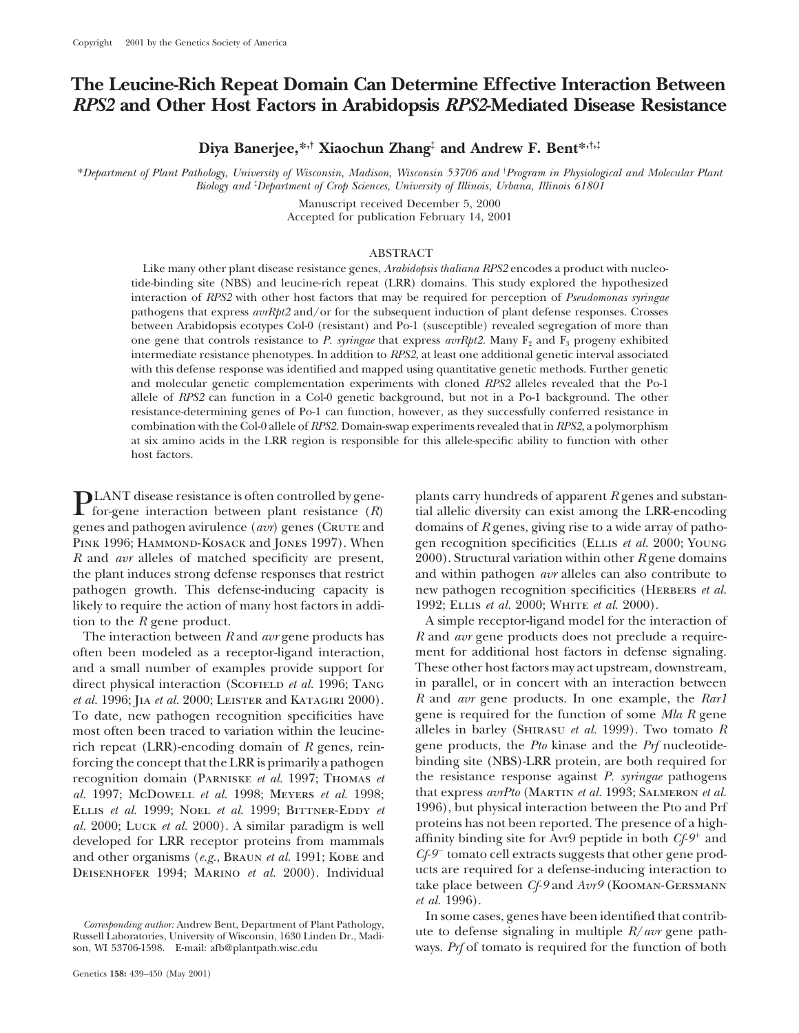# **The Leucine-Rich Repeat Domain Can Determine Effective Interaction Between** *RPS2* **and Other Host Factors in Arabidopsis** *RPS2***-Mediated Disease Resistance**

**Diya Banerjee,\*,† Xiaochun Zhang‡ and Andrew F. Bent\*,†,‡**

\**Department of Plant Pathology, University of Wisconsin, Madison, Wisconsin 53706 and* † *Program in Physiological and Molecular Plant Biology and* ‡ *Department of Crop Sciences, University of Illinois, Urbana, Illinois 61801*

> Manuscript received December 5, 2000 Accepted for publication February 14, 2001

## ABSTRACT

Like many other plant disease resistance genes, *Arabidopsis thaliana RPS2* encodes a product with nucleotide-binding site (NBS) and leucine-rich repeat (LRR) domains. This study explored the hypothesized interaction of *RPS2* with other host factors that may be required for perception of *Pseudomonas syringae* pathogens that express *avrRpt2* and/or for the subsequent induction of plant defense responses. Crosses between Arabidopsis ecotypes Col-0 (resistant) and Po-1 (susceptible) revealed segregation of more than one gene that controls resistance to *P. syringae* that express *avrRpt2*. Many F<sub>2</sub> and F<sub>3</sub> progeny exhibited intermediate resistance phenotypes. In addition to *RPS2*, at least one additional genetic interval associated with this defense response was identified and mapped using quantitative genetic methods. Further genetic and molecular genetic complementation experiments with cloned *RPS2* alleles revealed that the Po-1 allele of *RPS2* can function in a Col-0 genetic background, but not in a Po-1 background. The other resistance-determining genes of Po-1 can function, however, as they successfully conferred resistance in combination with the Col-0 allele of *RPS2.* Domain-swap experiments revealed that in *RPS2*, a polymorphism at six amino acids in the LRR region is responsible for this allele-specific ability to function with other host factors.

**PLANT** disease resistance is often controlled by gene-<br>for-gene interaction between plant resistance  $(R)$  ial allelic diversity can exist among the LRR-encoding<br>management and solution spiral and density of  $R$  managemen genes and pathogen avirulence (*avr*) genes (CRUTE and domains of *R* genes, giving rise to a wide array of patho-PINK 1996; HAMMOND-KOSACK and JONES 1997). When gen recognition specificities (ELLIS *et al.* 2000; YOUNG *R* and *avr* alleles of matched specificity are present, 2000). Structural variation within other *R* gene domains the plant induces strong defense responses that restrict and within pathogen *avr* alleles can also contribute to pathogen growth. This defense-inducing capacity is new pathogen recognition specificities (HERBERS *et al.*) likely to require the action of many host factors in addi-<br>1992; ELLIS *et al.* 2000; WHITE *et al.* 2000). tion to the *R* gene product. A simple receptor-ligand model for the interaction of

often been modeled as a receptor-ligand interaction, ment for additional host factors in defense signaling. and a small number of examples provide support for These other host factors may act upstream, downstream, direct physical interaction (Scoriell *et al.* 1996; TANG in parallel, or in concert with an interaction between *et al.* 1996; Jia *et al.* 2000; Leister and Katagiri 2000). *R* and *avr* gene products. In one example, the *Rar1* To date, new pathogen recognition specificities have gene is required for the function of some *Mla R* gene most often been traced to variation within the leucine- alleles in barley (Shirasu *et al.* 1999). Two tomato *R* rich repeat (LRR)-encoding domain of *R* genes, rein- gene products, the *Pto* kinase and the *Prf* nucleotideforcing the concept that the LRR is primarily a pathogen binding site (NBS)-LRR protein, are both required for recognition domain (Parniske *et al.* 1997; Thomas *et* the resistance response against *P. syringae* pathogens *al.* 1997; McDowell *et al.* 1998; Meyers *et al.* 1998; that express *avrPto* (Martin *et al.* 1993; Salmeron *et al.* ELLIS *et al.* 1999; NOEL *et al.* 1999; BITTNER-EDDY *et* 1996), but physical interaction between the Pto and Prf *al.* 2000: LUCK *et al.* 2000). A similar paradigm is well proteins has not been reported. The presence o *al.* 2000; Luck *et al.* 2000). A similar paradigm is well proteins has not been reported. The presence of a high-<br>developed for LRR receptor proteins from mammals affinity binding site for Avr9 peptide in both Cf-9<sup>+</sup> an developed for LRR receptor proteins from mammals attinuty binding site for Avr9 peptide in both *Cf-9*<sup>+</sup> and<br>and other organisms (e.g. BRAUN et al. 1991; KORE and  $C_f$ -9<sup>+</sup> tomato cell extracts suggests that other gene pr and other organisms (*e.g.*, BRAUN *et al.* 1991; Kobe and *Cf-9*<sup>-</sup> tomato cell extracts suggests that other gene prod-<br>DEISENHOFER 1994: MARINO *et al.* 2000). Individual ucts are required for a defense-inducing interact DEISENHOFER 1994; MARINO et al. 2000). Individual

The interaction between *R* and *avr* gene products has *R* and *avr* gene products does not preclude a requiretake place between *Cf-9* and *Avr9* (Kooman-Gersmann *et al.* 1996).

Corresponding author: Andrew Bent, Department of Plant Pathology,<br>
Russell Laboratories, University of Wisconsin, 1630 Linden Dr., Madi-<br>
son, WI 53706-1598. E-mail: afb@plantpath.wisc.edu<br>
son, WI 53706-1598. E-mail: afb@ ways. *Prf* of tomato is required for the function of both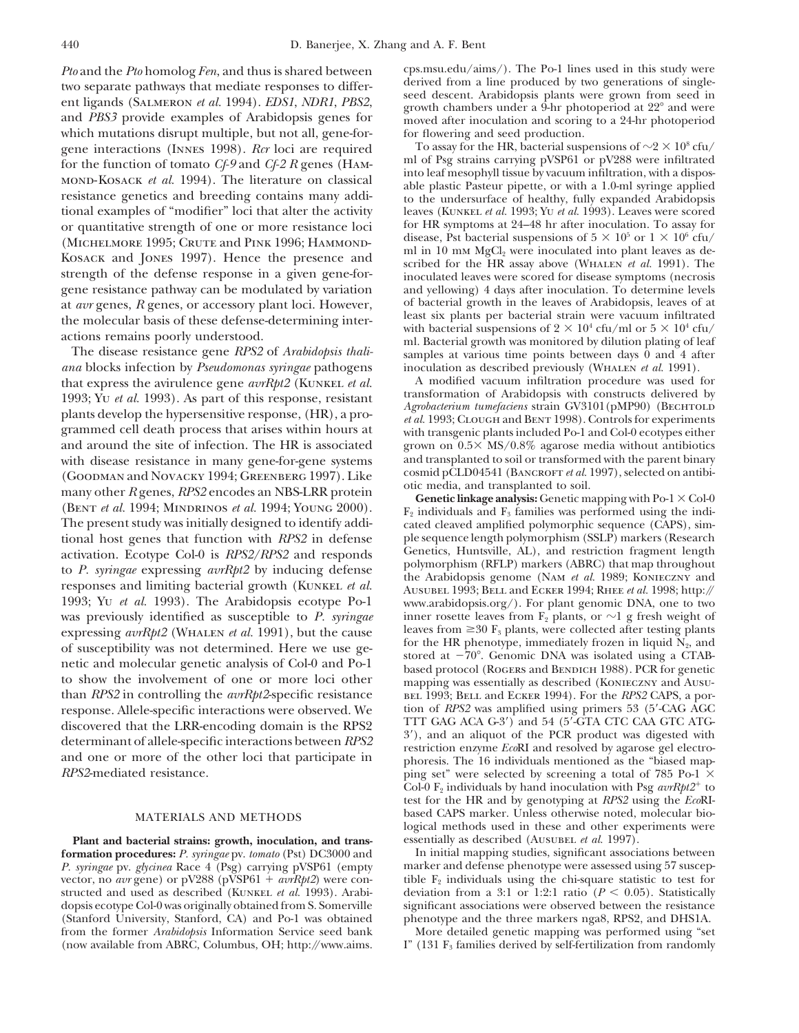which mutations disrupt multiple, but not all, gene-for-<br>
or flowering and seed production.<br>  $\frac{100}{2} \times 10^8$  cfu/<br>  $\frac{100}{2} \times 10^8$  cfu/

*ana* blocks infection by *Pseudomonas syringae* pathogens inoculation as described previously (WHALEN *et al.* 1991).<br>
that express the avirulence gene *avrRbt2* (KUNKEL *et al.* A modified vacuum infiltration procedure w (GOODMAN and NOVACKY 1994; GREENBERG 1997). Like cosmid pCLD04541 (BANCROFT *et al.* 1997), selected on antibi-<br>many other R genes, RPS2 encodes an NBS-LRR protein **Genetic linkage analysis:** Genetic mapping with Po-1  $\times$ was previously identified as susceptible to *P. syringae* inner rosette leaves from  $F_2$  plants, or  $\sim$ 1 g fresh weight of expressing *ayrRht2* (WHALEN *et al.* 1991). but the cause leaves from  $\geq$ 30 F<sub>3</sub> plants, were expressing *avrRpt2* (WHALEN *et al.* 1991), but the cause leaves from  $\geq 30$  F<sub>3</sub> plants, were collected after testing plants of susceptibility was not determined. Here we use generic and molecular genetic analysis of

**formation procedures:** *P. syringae* pv. *tomato* (Pst) DC3000 and In initial mapping studies, significant associations between *P. syringae* pv. *glycinea* Race 4 (Psg) carrying pVSP61 (empty marker and defense phenotype *P. syringae* pv. *glycinea* Race 4 (Psg) carrying pVSP61 (empty dopsis ecotype Col-0 was originally obtained from S. Somerville significant associations were observed between the resistance<br>(Stanford University, Stanford, CA) and Po-1 was obtained phenotype and the three markers nga8, (Stanford University, Stanford, CA) and Po-1 was obtained from the former *Arabidopsis* Information Service seed bank More detailed genetic mapping was performed using "set (now available from ABRC, Columbus, OH; http://www.aims. I" (131  $F_3$  families derived by self-fertilization from randomly

*Pto* and the *Pto* homolog *Fen*, and thus is shared between cps.msu.edu/aims/). The Po-1 lines used in this study were two senarate pathways that mediate responses to differ derived from a line produced by two generation two separate pathways that mediate responses to differ-<br>ent ligands (SALMERON *et al.* 1994). *EDS1*, *NDR1*, *PBS2*,<br>and *PBS3* provide examples of Arabidopsis genes for<br>moved after inoculation and scoring to a 24-hr phot moved after inoculation and scoring to a 24-hr photoperiod

gene interactions (INNES 1998). *Rcr* loci are required To assay for the HR, bacterial suspensions of  $\sim$ 2  $\times$  10<sup>8</sup> cfu/<br>for the function of tomato *Cf* 0 and *Cf* 2 *R* genes (HAM and of Psg strains carrying pVSP61 or for the function of tomato *Cf-9* and *Cf-2* R genes (HAM-<br>
MOND-KOSACK *et al.* 1994). The literature on classical<br>
resistance genetics and breeding contains many addi-<br>
resistance genetics and breeding contains many add tional examples of "modifier" loci that alter the activity leaves (KUNKEL *et al.* 1993; YU *et al.* 1993). Leaves were scored or quantitative strength of one or more resistance loci for HR symptoms at 24–48 hr after inocu or quantitative strength of one or more resistance loci for HR symptoms at 24–48 hr after inoculation. To assay for<br>(MICHELMORE 1995: CRUTE and PINE 1996: HAMMOND, disease, Pst bacterial suspensions of  $5 \times 10^5$  or  $1 \times$ (MICHELMORE 1995; CRUTE and PINK 1996; HAMMOND-<br>
KOSACK and JONES 1997). Hence the presence and<br>
strength of the defense response in a given gene-for-<br>
gene resistance pathway can be modulated by variation<br>
and vellowing) gene resistance pathway can be modulated by variation and yellowing) 4 days after inoculation. To determine levels at *avr* genes. R genes, or accessory plant loci. However, of bacterial growth in the leaves of Arabidopsis at *avr* genes, *R* genes, or accessory plant loci. However, of bacterial growth in the leaves of Arabidopsis, leaves of at<br>the molecular basis of these defense determining inter the molecular basis of these defense-determining inter-<br>actions remains poorly understood.<br>The disease resistance gene RPS2 of Arabidopsis thali-<br>The disease resistance gene RPS2 of Arabidopsis thali-<br>amples at various ti

that express the avirulence gene *avrRpt2* (KUNKEL *et al.* A modified vacuum infiltration procedure was used for that express the avirulence gene *avrRpt2* (KUNKEL *et al.* and the mass of this response resistant that the 1993; Yu et al. 1993). As part of this response, resistant<br>plants develop the hypersensitive response, (HR), a pro-<br>grammed cell death process that arises within hours at<br>grammed cell death process that arises within hours and around the site of infection. The HR is associated grown on  $0.5 \times$  MS/0.8% agarose media without antibiotics with disease resistance in many gene-for-gene systems and transplanted to soil or transformed with the pare with disease resistance in many gene-for-gene systems and transplanted to soil or transformed with the parent binary<br>(COODMAN and NOVACKY 1004: CREENBERG 1007). Like cosmid pCLD04541 (BANCROFT et al. 1997), selected on an

(BENT *et al.* 1994; MINDRINOS *et al.* 1994; YOUNG 2000).  $F_2$  individuals and  $F_3$  families was performed using the indi-<br>The present study was initially designed to identify addi-<br>cated cleaved amplified polymorphic cated cleaved amplified polymorphic sequence (CAPS), simtional host genes that function with *RPS2* in defense ple sequence length polymorphism (SSLP) markers (Research activation Frotype Col-0 is *RPS2/RPS2* and responds Genetics, Huntsville, AL), and restriction fragment leng activation. Ecotype Col-0 is *RPS2/RPS2* and responds<br>to *P. syringae* expressing *avrRpt2* by inducing defense<br>responses and limiting bacterial growth (KUNKEL *et al.* AL), and responses and limiting bacterial growth (KUN www.arabidopsis.org/). For plant genomic DNA, one to two inner rosette leaves from  $F_2$  plants, or  $\sim$ 1 g fresh weight of than *RPS2* in controlling the *avrRpt2*-specific resistance bel 1993; Bell and Ecker 1994). For the *RPS2* CAPS, a porresponse. Allele-specific interactions were observed. We tion of *RPS2* was amplified using primers 53 (5'-CAG AGC discovered that the LRR-encoding domain is the RPS2 TTT GAG ACA G-3') and 54 (5'-GTA CTC CAA GTC ATGdiscovered that the LRR-encoding domain is the RPS2<br>determinant of allele-specific interactions between RPS2<br>determinant of allele-specific interactions between RPS2<br>and an aliquot of the PCR product was digested with<br>res ping set" were selected by screening a total of 785 Po-1  $\times$ Col-0  $F_2$  individuals by hand inoculation with Psg  $\frac{a v R p t 2^+}{ }$  to test for the HR and by genotyping at *RPS2* using the *Eco*RI-MATERIALS AND METHODS based CAPS marker. Unless otherwise noted, molecular biological methods used in these and other experiments were **Plant and bacterial strains: growth, inoculation, and trans-** essentially as described (Ausubel *et al.* 1997).

vector, no *avr* gene) or pV288 (pVSP61 + *avrRpt2*) were con-<br>structed and used as described (KUNKEL *et al.* 1993). Arabi-<br>deviation from a 3:1 or 1:2:1 ratio ( $P < 0.05$ ). Statistically structed and used as described (KUNKEL *et al.* 1993). Arabi-<br>deviation from a 3:1 or 1:2:1 ratio ( $P < 0.05$ ). Statistically<br>dopsis ecotype Col-0 was originally obtained from S. Somerville significant associations were ob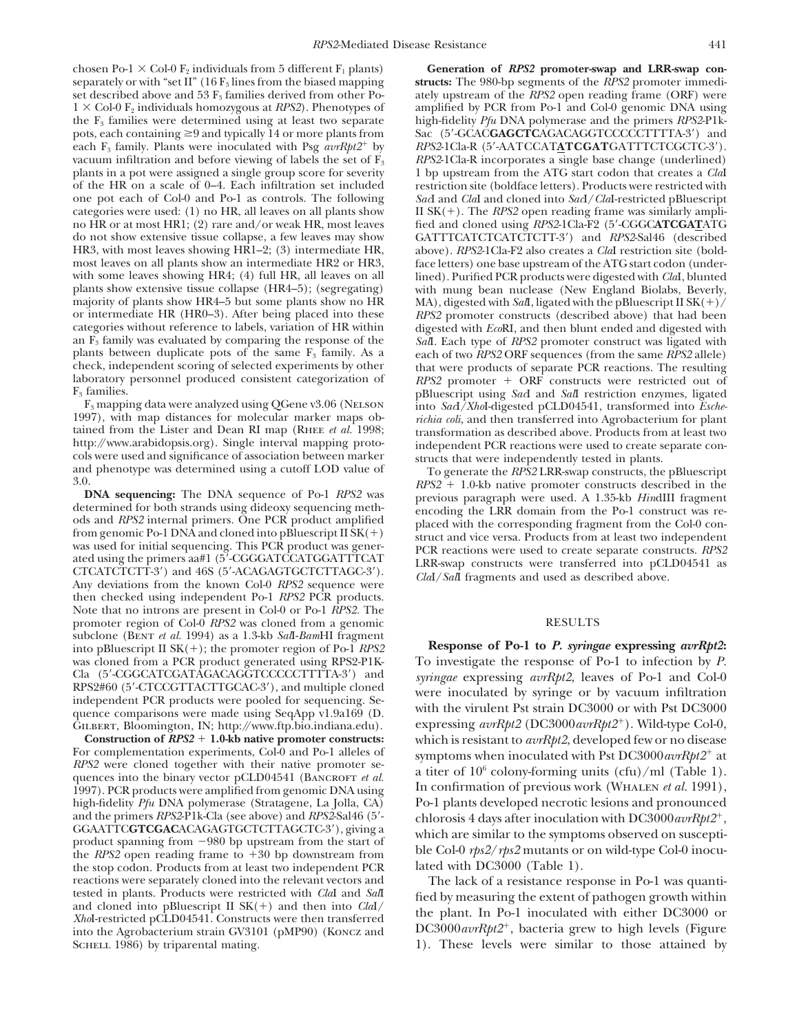chosen Po-1  $\times$  Col-0 F<sub>2</sub> individuals from 5 different F<sub>1</sub> plants) **Generation of** *RPS2* **promoter-swap and LRR-swap con-**<br>separately or with "set II" (16 F<sub>3</sub> lines from the biased mapping **structs:** The 980-bp segment

then checked using independent Po-1 *RPS2* PCR products. Note that no introns are present in Col-0 or Po-1 *RPS2.* The promoter region of Col-0 *RPS2* was cloned from a genomic RESULTS<br>subclone (BENT *et al.* 1994) as a 1.3-kb *Sall-BamHI* fragment

1997). PCR products were amplified from genomic DNA using high-fidelity  $Pf\mu$  DNA polymerase (Stratagene, La Jolla, CA) and the primers RPS2-P1k-Cla (see above) and RPS2-Sal46 (5'<br>
GGAATTCGTCGACACAGAGTGCTCTTAGCTC-3'), giving a<br>
product spanning from -980 bp upstream from the start of<br>
the RPS2 open reading frame to +30 bp downstream from<br> the stop codon. Products from at least two independent PCR

separately or with "set II" (16  $F_3$  lines from the biased mapping **structs:** The 980-bp segments of the *RPS2* promoter immedi-<br>set described above and 53  $F_3$  families derived from other Po-<br>ately upstream of the *RPS* ately upstream of the *RPS2* open reading frame (ORF) were  $1 \times$  Col-0 F<sub>2</sub> individuals homozygous at *RPS2*). Phenotypes of amplified by PCR from Po-1 and Col-0 genomic DNA using the F3 families were determined using at least two separate high-fidelity *Pfu* DNA polymerase and the primers *RPS2*-P1kpots, each containing  $\geq$ 9 and typically 14 or more plants from Sac (5'-GCAC**GAGCTC**AGACAGGTCCCCCTTTTA-3') and each  $F_3$  family. Plants were inoculated with Psg  $\frac{a v R p t}{2}$  by  $\frac{R P S 2 1 C I a - R}{5' - A A T C C A T A T C G A T T T C T C G C T C - 3'}$ . vacuum infiltration and before viewing of labels the set of  $F_3$  *RPS2*-1Cla-R incorporates a single base change (underlined) plants in a pot were assigned a single group score for severity 1 bp upstream from the ATG start codon that creates a *Cla*I of the HR on a scale of 0–4. Each infiltration set included restriction site (boldface letters). Products were restricted with one pot each of Col-0 and Po-1 as controls. The following *Sac*I and *Cla*I and cloned into *Sac*I/*Cla*I-restricted pBluescript categories were used: (1) no HR, all leaves on all plants show II SK(+). The *RPS2* open reading frame was similarly ampli-<br>no HR or at most HR1; (2) rare and/or weak HR, most leaves fied and cloned using *RPS2*-1Cla-F2 (5 no HR or at most HR1; (2) rare and/or weak HR, most leaves fied and cloned using *RPS2*-1Cla-F2 (5'-CGGC**ATCGAT**ATG<br>do not show extensive tissue collapse, a few leaves may show GATTTCATCTCATCTCTT-3') and *RPS2-Sal46* (desc do not show extensive tissue collapse, a few leaves may show GATTTCATCTCATCTCATCTT-3') and *RPS2-Sal46* (described HR3, with most leaves showing HR1-2; (3) intermediate HR, above). *RPS2-*1Cla-F2 also creates a *ClaI* rest HR3, with most leaves showing HR1–2; (3) intermediate HR, above). *RPS2*-1Cla-F2 also creates a *Cla*I restriction site (bold-<br>most leaves on all plants show an intermediate HR2 or HR3, face letters) one base upstream of t most leaves on all plants show an intermediate HR2 or HR3, face letters) one base upstream of the ATG start codon (under-<br>with some leaves showing HR4; (4) full HR, all leaves on all lined). Purified PCR products were dige with some leaves showing HR4; (4) full HR, all leaves on all lined). Purified PCR products were digested with *Cla*I, blunted plants show extensive tissue collapse (HR4–5); (segregating) with mung bean nuclease (New Englan with mung bean nuclease (New England Biolabs, Beverly, majority of plants show HR4–5 but some plants show no HR MA), digested with *Sal*I, ligated with the pBluescript II SK(+)/<br>or intermediate HR (HR0–3). After being placed into these RPS2 promoter constructs (described abov RPS2 promoter constructs (described above) that had been categories without reference to labels, variation of HR within digested with *Eco*RI, and then blunt ended and digested with an  $\overline{F_3}$  family was evaluated by comparing the response of the *Sal*I. Each type of *RPS2* promoter construct was ligated with plants between duplicate pots of the same  $\overline{F_3}$  family. As a each of two *RPS2* ORF plants between duplicate pots of the same  $F_3$  family. As a each of two *RPS2* ORF sequences (from the same *RPS2* allele) check, independent scoring of selected experiments by other that were products of separate PCR rea check, independent scoring of selected experiments by other<br>laboratory personnel produced consistent categorization of also and Sall restricts were restricted out of<br>laboratory personnel produced consistent categorization F<sub>3</sub> families.<br>
F<sub>3</sub> mapping data were analyzed using QGene v3.06 (NELSON into *Sac*I/*Xho*I-digested pCLD04541, transformed into *Esche*-<br>
1997), with map distances for molecular marker maps ob-<br> *nchia coli*, and then tr 1997), with map distances for molecular marker maps ob *ichia coli*, and then transferred into Agrobacterium for plant tained from the Lister and Dean RI map (RHEE *et al.* 1998; transformation as described above. Products

http://www.arabidopsis.org). Single interval mapping proto-<br>
cols were used and significance of association between marker<br>
and phenotype was determined using a cutoff LOD value of<br>
and phenotype was determined using a cut

into pBluescript II SK(+); the promoter region of Po-1 RPS2 Response of Po-1 to P. syringae expressing  $\alpha v Rpt2$ : was cloned from a PCR product generated using RPS2-P1K-<br>Cla (5'-CGGCATCGATAGACAGGTCCCCCCTTTTA-3') and syringae expressing avrRpt2. leaves of Po-1 and Col-0 Cla (5'-CGGCATCGATAGACAGGTCCCCCTTTTA-3') and syringae expressing avrRpt2, leaves of Po-1 and Col-0<br>RPS2#60 (5'-CTCCGTTACTTGCAC-3'), and multiple cloned were inoculated by syringe or by vacuum infiltration<br>independent PCR p  $\frac{\dot{G}_{\text{ILBERT, Bioomington, IN; http://www.ftp. bio.indiana.edu)}}{\text{Construction of RPS2 + 1.0-kb native promoter constructs:}}$  which is resistant to *avrRpt2*, developed few or no disease **Construction of RPS2** + 1.0-kb native promoter constructs:<br>For complementation experiments, Col-0 and Po-1 alleles of<br>RPS2 were cloned together with their native promoter series as then of 10<sup>6</sup> sology forming units (cfs *RPS2* were cloned together with their native promoter se-<br>quences into the binary vector pCLD04541 (Bancroor *et al.* a titer of  $10^6$  colony-forming units (cfu)/ml (Table 1).<br>1997). PCR products were amplified from gen high-fidelity *Pfu* DNA polymerase (Stratagene, La Jolla, CA) Po-1 plants developed necrotic lesions and pronounced and the primers *RPS2-P1k-Cla* (see above) and *RPS2-Sal46* (5'-<br>chlorosis 4 days after inoculation with D

reactions were separately cloned into the relevant vectors and<br>tested in plants. Products were restricted with *Cla*I and *Sal*<br>and cloned into pBluescript II SK(+) and then into *ClaI* fied by measuring the extent of path SCHELL 1986) by triparental mating. 1). These levels were similar to those attained by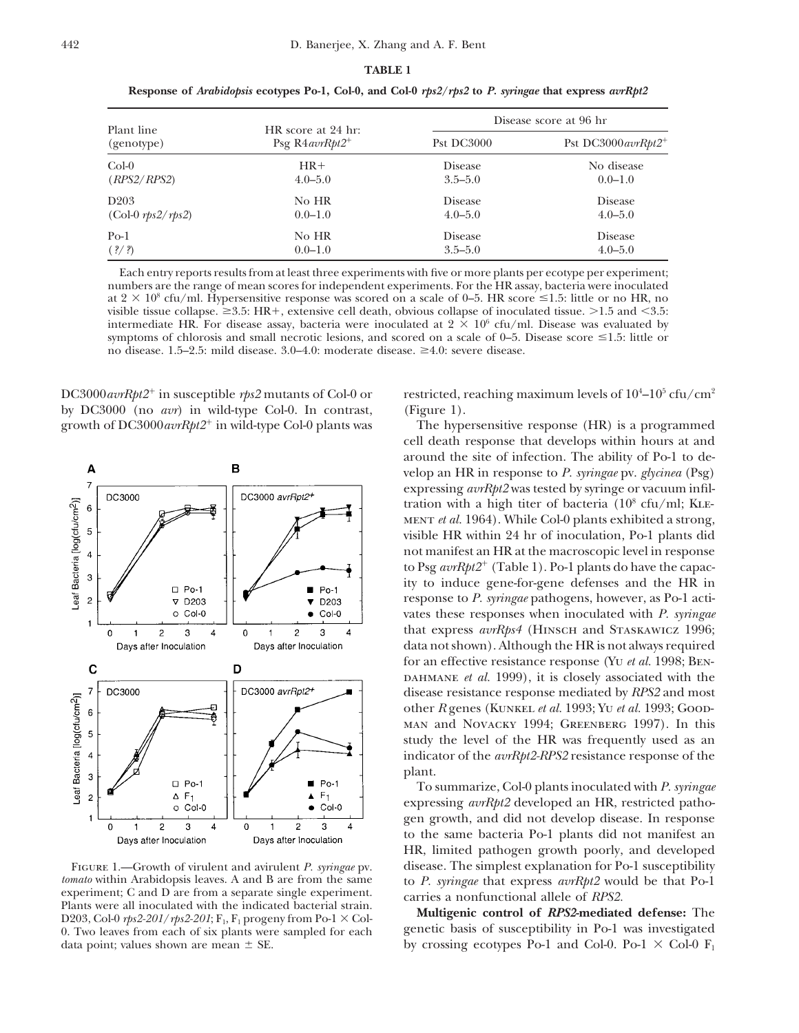## **TABLE 1 Response of** *Arabidopsis* **ecotypes Po-1, Col-0, and Col-0** *rps2***/***rps2* **to** *P. syringae* **that express** *avrRpt2*

Disease score at 96 hr Plant line HR score at 24 hr:<br>
(genotype) Psg R4*avrRpt2*<sup>+</sup> Pst DC3000 Pst DC3000 avrRpt2<sup>+</sup> Col-0 **HR**+ Disease No disease No disease (*RPS2*/*RPS2*) 4.0–5.0 3.5–5.0 0.0–1.0 D203 No HR Disease Disease Disease Disease (Col-0 *rps2*/*rps2*) 0.0–1.0 4.0–5.0 4.0–5.0 Po-1 No HR Disease Disease Disease (*?*/*?*) 0.0–1.0 3.5–5.0 4.0–5.0

Each entry reports results from at least three experiments with five or more plants per ecotype per experiment; numbers are the range of mean scores for independent experiments. For the HR assay, bacteria were inoculated at  $2 \times 10^8$  cfu/ml. Hypersensitive response was scored on a scale of 0–5. HR score  $\leq 1.5$ : little or no HR, no visible tissue collapse.  $\geq 3.5$ : HR+, extensive cell death, obvious collapse of inoculated tissue.  $>1.5$  and  $< 3.5$ : intermediate HR. For disease assay, bacteria were inoculated at  $2 \times 10^6$  cfu/ml. Disease was evaluated by symptoms of chlorosis and small necrotic lesions, and scored on a scale of  $0-5$ . Disease score  $\leq 1.5$ : little or no disease. 1.5–2.5: mild disease.  $3.0-4.0$ : moderate disease.  $\geq 4.0$ : severe disease.

DC3000 $avrRpt2$ <sup>+</sup> in susceptible  $rps2$  mutants of Col-0 or by DC3000 (no *avr*) in wild-type Col-0. In contrast, (Figure 1). growth of DC3000*avrRpt2*<sup>1</sup> in wild-type Col-0 plants was The hypersensitive response (HR) is a programmed

*tomato* within Arabidopsis leaves. A and B are from the same to *P. syringae* that express *avrRpt2* would be that Po-1 experiment; C and D are from a separate single experiment. carries a nonfunctional allele of *RPS2*.<br>Plants were all inoculated with the indicated bacterial strain. Plants were all inoculated with the indicated bacterial strain. **Multigenic control of** *RPS2***-mediated defense:** The D203, Col-0  $\eta$ s2-201/ $\eta$ s2-201/**F**<sub>1</sub>, F<sub>1</sub> progeny from Po-1  $\times$  Col-0. Two leaves from each of six plants were sampled for each genetic basis of susceptibility in Po-1 was investigated

restricted, reaching maximum levels of  $10^4$ – $10^5$  cfu/cm<sup>2</sup>

cell death response that develops within hours at and around the site of infection. The ability of Po-1 to develop an HR in response to *P. syringae* pv. *glycinea* (Psg) expressing *avrRpt2* was tested by syringe or vacuum infiltration with a high titer of bacteria  $(10^8 \text{ cfu/ml}; \text{KLE-}$ ment *et al.* 1964). While Col-0 plants exhibited a strong, visible HR within 24 hr of inoculation, Po-1 plants did not manifest an HR at the macroscopic level in response to Psg *avrRpt2*<sup>+</sup> (Table 1). Po-1 plants do have the capacity to induce gene-for-gene defenses and the HR in response to *P. syringae* pathogens, however, as Po-1 activates these responses when inoculated with *P. syringae* that express  $\frac{avrRps4}{HINSCH}$  and STASKAWICZ 1996; data not shown). Although the HR is not always required for an effective resistance response (Yu *et al.* 1998; Ben-DAHMANE *et al.* 1999), it is closely associated with the disease resistance response mediated by *RPS2* and most other *R* genes (Kunkel *et al.* 1993; Yu *et al.* 1993; Goodman and Novacky 1994; Greenberg 1997). In this study the level of the HR was frequently used as an indicator of the *avrRpt2-RPS2* resistance response of the plant.

To summarize, Col-0 plants inoculated with *P. syringae* expressing *avrRpt2* developed an HR, restricted pathogen growth, and did not develop disease. In response to the same bacteria Po-1 plants did not manifest an HR, limited pathogen growth poorly, and developed Figure 1.—Growth of virulent and avirulent *P. syringae* pv. disease. The simplest explanation for Po-1 susceptibility

data point; values shown are mean  $\pm$  SE. by crossing ecotypes Po-1 and Col-0. Po-1  $\times$  Col-0 F<sub>1</sub>

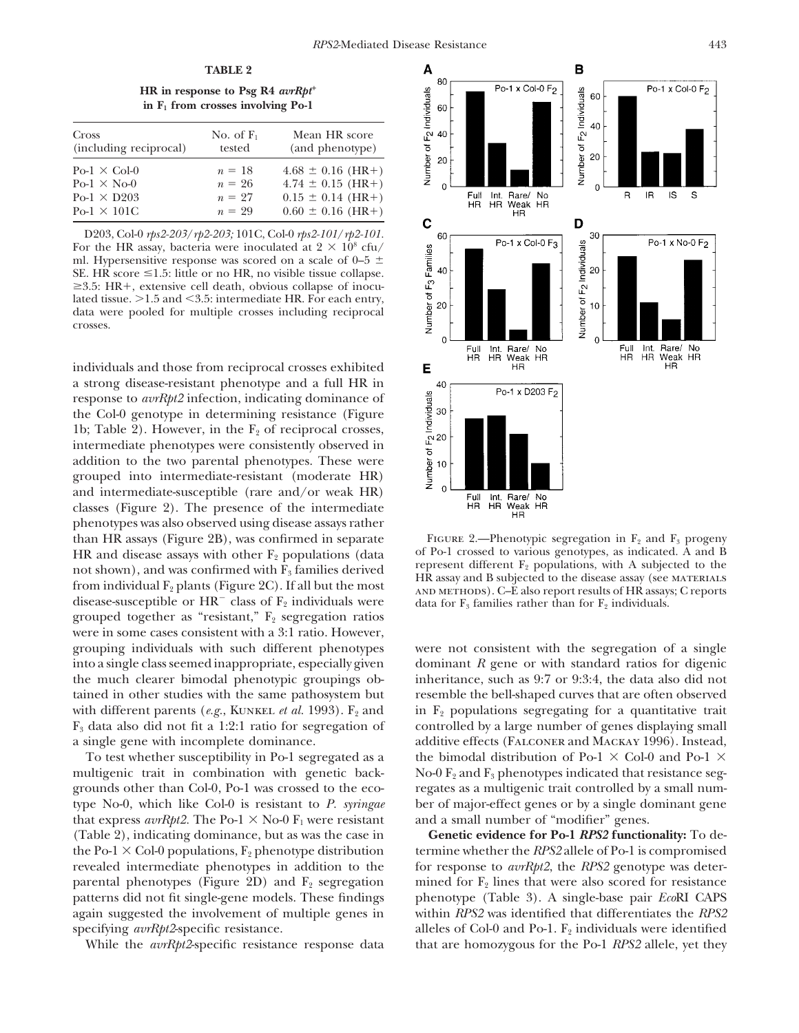**HR** in response to Psg R4  $\frac{avRpt^{+}}{dt}$ **in F1 from crosses involving Po-1**

| Cross                  | No. of $F_1$ | Mean HR score         |  |
|------------------------|--------------|-----------------------|--|
| (including reciprocal) | tested       | (and phenotype)       |  |
| $Po-1 \times Col-0$    | $n = 18$     | $4.68 \pm 0.16$ (HR+) |  |
| $Po-1 \times No-0$     | $n = 26$     | $4.74 \pm 0.15$ (HR+) |  |
| $Po-1 \times D203$     | $n = 27$     | $0.15 \pm 0.14$ (HR+) |  |
| $Po-1 \times 101C$     | $n = 29$     | $0.60 \pm 0.16$ (HR+) |  |

D203, Col-0 *rps2-203*/*rp2-203;* 101C, Col-0 *rps2-101*/*rp2-101.* For the HR assay, bacteria were inoculated at  $2 \times 10^8$  cfu/ ml. Hypersensitive response was scored on a scale of  $0-5 \pm$ SE. HR score  $\leq$ 1.5: little or no HR, no visible tissue collapse.  $\geq$ 3.5: HR+, extensive cell death, obvious collapse of inoculated tissue.  $>1.5$  and  $<$  3.5: intermediate HR. For each entry, data were pooled for multiple crosses including reciprocal crosses.

individuals and those from reciprocal crosses exhibited a strong disease-resistant phenotype and a full HR in response to *avrRpt2* infection, indicating dominance of the Col-0 genotype in determining resistance (Figure 1b; Table 2). However, in the  $F_2$  of reciprocal crosses, intermediate phenotypes were consistently observed in addition to the two parental phenotypes. These were grouped into intermediate-resistant (moderate HR) and intermediate-susceptible (rare and/or weak HR) classes (Figure 2). The presence of the intermediate phenotypes was also observed using disease assays rather than HR assays (Figure 2B), was confirmed in separate FIGURE 2.—Phenotypic segregation in  $F_2$  and  $F_3$  progeny<br>HR and disease assays with other  $F_2$  populations (data of Po-1 crossed to various genotypes, as indicated HR and disease assays with other  $F_2$  populations (data and Po-1 crossed to various genotypes, as indicated. A and B<br>not shown), and was confirmed with  $F_3$  families derived<br>from individual  $F_2$  plants (Figure 2C). If grouped together as "resistant,"  $F_2$  segregation ratios were in some cases consistent with a 3:1 ratio. However, grouping individuals with such different phenotypes were not consistent with the segregation of a single into a single class seemed inappropriate, especially given dominant *R* gene or with standard ratios for digenic the much clearer bimodal phenotypic groupings ob- inheritance, such as 9:7 or 9:3:4, the data also did not tained in other studies with the same pathosystem but resemble the bell-shaped curves that are often observed with different parents (*e.g.*, KUNKEL *et al.* 1993).  $F_2$  and in  $F_2$  populations segregating for a quantitative trait  $F_3$  data also did not fit a 1:2:1 ratio for segregation of controlled by a large number of genes displaying small

multigenic trait in combination with genetic back- No-0  $F_2$  and  $F_3$  phenotypes indicated that resistance seggrounds other than Col-0, Po-1 was crossed to the eco- regates as a multigenic trait controlled by a small numtype No-0, which like Col-0 is resistant to *P. syringae* ber of major-effect genes or by a single dominant gene that express  $\frac{avrRpt2.}{}$  The Po-1  $\times$  No-0  $F_1$  were resistant and a small number of "modifier" genes. the Po-1  $\times$  Col-0 populations,  $F_2$  phenotype distribution termine whether the *RPS2* allele of Po-1 is compromised revealed intermediate phenotypes in addition to the for response to *avrRpt2*, the *RPS2* genotype was deterparental phenotypes (Figure 2D) and  $F_2$  segregation inined for  $F_2$  lines that were also scored for resistance patterns did not fit single-gene models. These findings phenotype (Table 3). A single-base pair *Eco*RI CAPS again suggested the involvement of multiple genes in within *RPS2* was identified that differentiates the *RPS2* specifying *avrRpt2*-specific resistance. alleles of Col-0 and Po-1. F<sub>2</sub> individuals were identified



a single gene with incomplete dominance. additive effects (Falconer and Mackay 1996). Instead, To test whether susceptibility in Po-1 segregated as a the bimodal distribution of Po-1  $\times$  Col-0 and Po-1  $\times$ 

(Table 2), indicating dominance, but as was the case in **Genetic evidence for Po-1** *RPS2* **functionality:** To de-While the *avrRpt2*-specific resistance response data that are homozygous for the Po-1 *RPS2* allele, yet they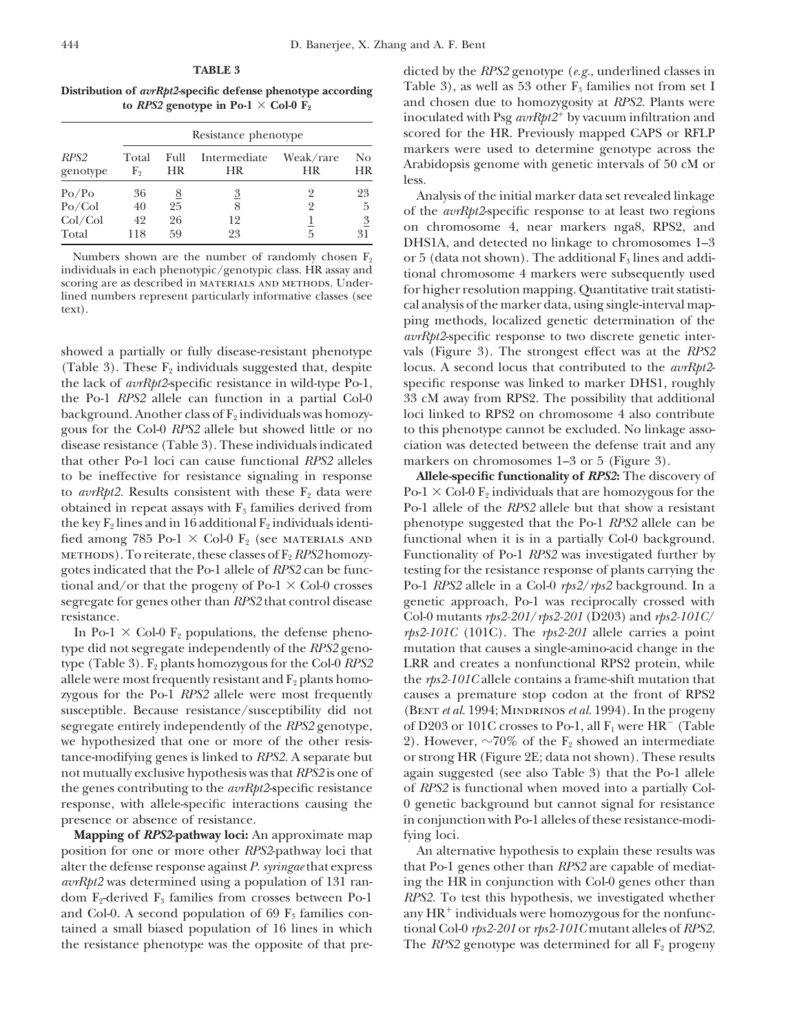| RPS <sub>2</sub><br>genotype | Resistance phenotype |            |                    |                 |                  |
|------------------------------|----------------------|------------|--------------------|-----------------|------------------|
|                              | Total<br>F,          | Full<br>HR | Intermediate<br>HR | Weak/rare<br>HR | No.<br><b>HR</b> |
| Po/Po                        | 36                   | 8          | $\overline{3}$     | 2               | 23               |
| Po/Col                       | 40                   | 25         | 8                  | 2               | 5                |
| Col/Col                      | 42                   | 26         | 12                 | 5               | $\overline{3}$   |
| Total                        | 118                  | 59         | 23                 |                 | 31               |

showed a partially or fully disease-resistant phenotype vals (Figure 3). The strongest effect was at the *RPS2* the lack of *avrRpt2*-specific resistance in wild-type Po-1, specific response was linked to marker DHS1, roughly the Po-1 *RPS2* allele can function in a partial Col-0 33 cM away from RPS2. The possibility that additional background. Another class of  $F_2$  individuals was homozy- loci linked to RPS2 on chromosome 4 also contribute gous for the Col-0 *RPS2* allele but showed little or no to this phenotype cannot be excluded. No linkage assodisease resistance (Table 3). These individuals indicated ciation was detected between the defense trait and any that other Po-1 loci can cause functional *RPS2* alleles markers on chromosomes 1–3 or 5 (Figure 3). to be ineffective for resistance signaling in response **Allele-specific functionality of** *RPS2***:** The discovery of to *avrRpt2*. Results consistent with these  $F_2$  data were Po-1  $\times$  Col-0  $F_2$  individuals that are homozygous for the obtained in repeat assays with  $F_3$  families derived from Po-1 allele of the *RPS2* allele but that show a resistant the key  $F_2$  lines and in 16 additional  $F_2$  individuals identi- phenotype suggested that the Po-1 *RPS2* allele can be fied among 785 Po-1  $\times$  Col-0 F<sub>2</sub> (see MATERIALS AND functional when it is in a partially Col-0 background. methods). To reiterate, these classes of F2 *RPS2* homozy- Functionality of Po-1 *RPS2* was investigated further by gotes indicated that the Po-1 allele of *RPS2* can be func- testing for the resistance response of plants carrying the tional and/or that the progeny of Po-1  $\times$  Col-0 crosses Po-1 *RPS2* allele in a Col-0 *rps2/rps2* background. In a segregate for genes other than *RPS2* that control disease genetic approach, Po-1 was reciprocally crossed with resistance. Col-0 mutants *rps2-201*/*rps2-201* (D203) and *rps2-101C*/

type did not segregate independently of the *RPS2* geno- mutation that causes a single-amino-acid change in the type (Table 3). F<sub>2</sub> plants homozygous for the Col-0 *RPS2* LRR and creates a nonfunctional RPS2 protein, while allele were most frequently resistant and  $F_2$  plants homo- the *rps2-101C* allele contains a frame-shift mutation that zygous for the Po-1 *RPS2* allele were most frequently causes a premature stop codon at the front of RPS2 susceptible. Because resistance/susceptibility did not (BENT *et al.* 1994; MINDRINOS *et al.* 1994). In the progeny segregate entirely independently of the *RPS2* genotype, of D203 or 101C crosses to Po-1, all  $F_1$  were  $HR^-$  (Table we hypothesized that one or more of the other resis- 2). However,  $\sim 70\%$  of the F<sub>2</sub> showed an intermediate tance-modifying genes is linked to *RPS2.* A separate but or strong HR (Figure 2E; data not shown). These results not mutually exclusive hypothesis was that *RPS2* is one of again suggested (see also Table 3) that the Po-1 allele the genes contributing to the *avrRpt2*-specific resistance of *RPS2* is functional when moved into a partially Colresponse, with allele-specific interactions causing the 0 genetic background but cannot signal for resistance presence or absence of resistance. in conjunction with Po-1 alleles of these resistance-modi-

**Mapping of** *RPS2***-pathway loci:** An approximate map fying loci. position for one or more other *RPS2*-pathway loci that An alternative hypothesis to explain these results was

**TABLE 3** dicted by the *RPS2* genotype (*e.g.*, underlined classes in **Distribution of** *avrRpt2***-specific defense phenotype according** Table 3), as well as 53 other  $F_3$  families not from set I **to** *RPS2* genotype in Po-1  $\times$  **Col-0**  $\mathbf{F}_2$  and chosen due to homozygosity at *RPS2*. Plants were inoculated with Psg *avrRpt2*<sup>1</sup> by vacuum infiltration and scored for the HR. Previously mapped CAPS or RFLP markers were used to determine genotype across the *Arabidopsis genome with genetic intervals of 50 cM* or less.

Po/Po 36 <u>8</u> 3 2 23 Analysis of the initial marker data set revealed linkage<br>
Po/Col 40 25 8 2 5 6 12<br>
Col/Col 42 26 12 1 <u>3</u> 5 31 DHS1A, and detected no linkage to chromosomes 1–3<br>
Total 118 59 23 5 31 DHS1A, and detected Numbers shown are the number of randomly chosen  $F_2$  or 5 (data not shown). The additional  $F_3$  lines and addi-<br>individuals in each phenotypic/genotypic class. HR assay and the propositional chromosome 4 markers were su individuals in each phenotypic/genotypic class. HK assay and<br>scoring are as described in MATERIALS AND METHODS. Under-<br>lined numbers represent particularly informative classes (see<br>text). ping methods, localized genetic determination of the *avrRpt2*-specific response to two discrete genetic inter-(Table 3). These  $F_2$  individuals suggested that, despite locus. A second locus that contributed to the  $\frac{avrRpt2-}{}$ 

In Po-1  $\times$  Col-0 F<sub>2</sub> populations, the defense pheno- *rps2-101C* (101C). The *rps2-201* allele carries a point

alter the defense response against *P. syringae* that express that Po-1 genes other than *RPS2* are capable of mediat*avrRpt2* was determined using a population of 131 ran- ing the HR in conjunction with Col-0 genes other than dom  $F_2$ -derived  $F_3$  families from crosses between Po-1 *RPS2*. To test this hypothesis, we investigated whether and Col-0. A second population of 69  $F_3$  families con-  $\frac{1}{2}$  any HR<sup>+</sup> individuals were homozygous for the nonfunctained a small biased population of 16 lines in which tional Col-0 *rps2-201* or *rps2-101C* mutant alleles of *RPS2.* the resistance phenotype was the opposite of that pre-<br>The *RPS2* genotype was determined for all  $F_2$  progeny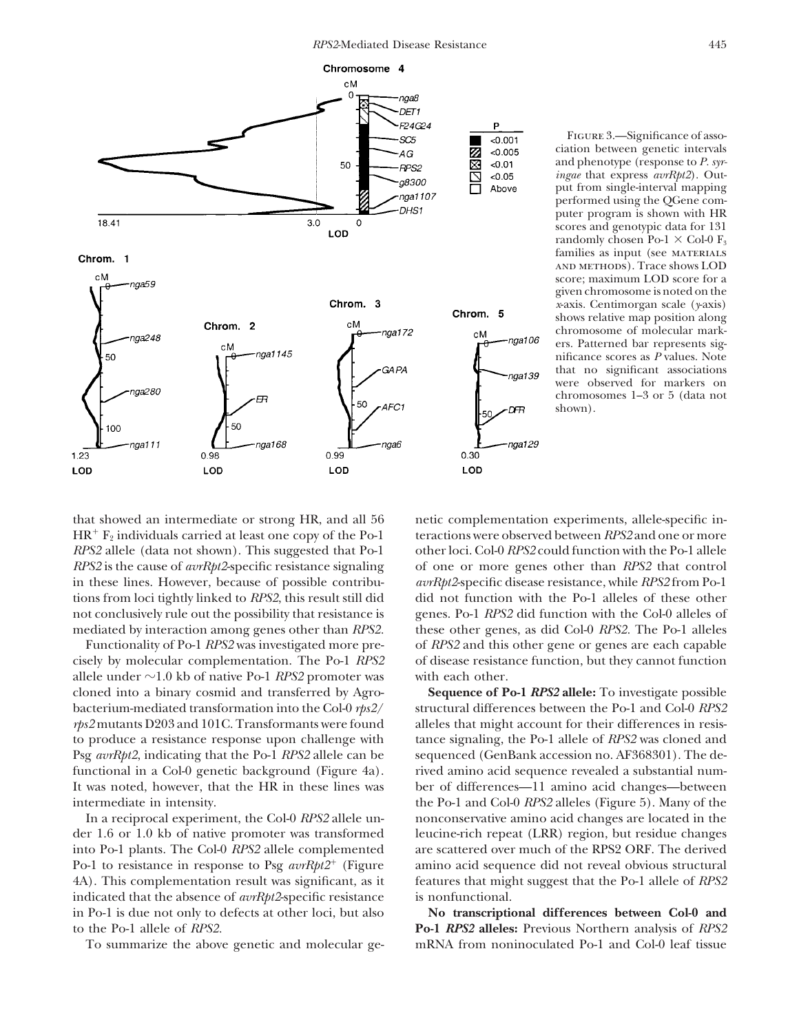

Figure 3.—Significance of association between genetic intervals and phenotype (response to *P. syringae* that express *avrRpt2*). Output from single-interval mapping performed using the QGene computer program is shown with HR scores and genotypic data for 131 randomly chosen Po-1  $\times$  Col-0 F<sub>3</sub> families as input (see MATERIALS and methods). Trace shows LOD score; maximum LOD score for a given chromosome is noted on the *x*-axis. Centimorgan scale (*y*-axis) shows relative map position along chromosome of molecular markers. Patterned bar represents significance scores as *P* values. Note that no significant associations were observed for markers on chromosomes 1–3 or 5 (data not shown).

cisely by molecular complementation. The Po-1 *RPS2* of disease resistance function, but they cannot function allele under  $\sim$ 1.0 kb of native Po-1 *RPS2* promoter was with each other. cloned into a binary cosmid and transferred by Agro- **Sequence of Po-1** *RPS2* **allele:** To investigate possible bacterium-mediated transformation into the Col-0 *rps2*/ structural differences between the Po-1 and Col-0 *RPS2 rps2* mutants D203 and 101C. Transformants were found alleles that might account for their differences in resisto produce a resistance response upon challenge with tance signaling, the Po-1 allele of *RPS2* was cloned and Psg *avrRpt2*, indicating that the Po-1 *RPS2* allele can be sequenced (GenBank accession no. AF368301). The defunctional in a Col-0 genetic background (Figure 4a). rived amino acid sequence revealed a substantial num-It was noted, however, that the HR in these lines was ber of differences—11 amino acid changes—between intermediate in intensity. the Po-1 and Col-0 *RPS2* alleles (Figure 5). Many of the

der 1.6 or 1.0 kb of native promoter was transformed leucine-rich repeat (LRR) region, but residue changes into Po-1 plants. The Col-0 *RPS2* allele complemented are scattered over much of the RPS2 ORF. The derived Po-1 to resistance in response to Psg  $\frac{avrRpt2^+}{$  (Figure amino acid sequence did not reveal obvious structural 4A). This complementation result was significant, as it features that might suggest that the Po-1 allele of *RPS2* indicated that the absence of *avrRpt2*-specific resistance is nonfunctional. in Po-1 is due not only to defects at other loci, but also **No transcriptional differences between Col-0 and** to the Po-1 allele of *RPS2.* **Po-1** *RPS2* **alleles:** Previous Northern analysis of *RPS2*

that showed an intermediate or strong HR, and all 56 netic complementation experiments, allele-specific in-HR<sup>+</sup>  $F_2$  individuals carried at least one copy of the Po-1 teractions were observed between *RPS2* and one or more *RPS2* allele (data not shown). This suggested that Po-1 other loci. Col-0 *RPS2* could function with the Po-1 allele *RPS2* is the cause of *avrRpt2*-specific resistance signaling of one or more genes other than *RPS2* that control in these lines. However, because of possible contribu- *avrRpt2*-specific disease resistance, while *RPS2* from Po-1 tions from loci tightly linked to *RPS2*, this result still did did not function with the Po-1 alleles of these other not conclusively rule out the possibility that resistance is genes. Po-1 *RPS2* did function with the Col-0 alleles of mediated by interaction among genes other than *RPS2.* these other genes, as did Col-0 *RPS2.* The Po-1 alleles Functionality of Po-1 *RPS2* was investigated more pre- of *RPS2* and this other gene or genes are each capable

In a reciprocal experiment, the Col-0 *RPS2* allele un- nonconservative amino acid changes are located in the

To summarize the above genetic and molecular ge- mRNA from noninoculated Po-1 and Col-0 leaf tissue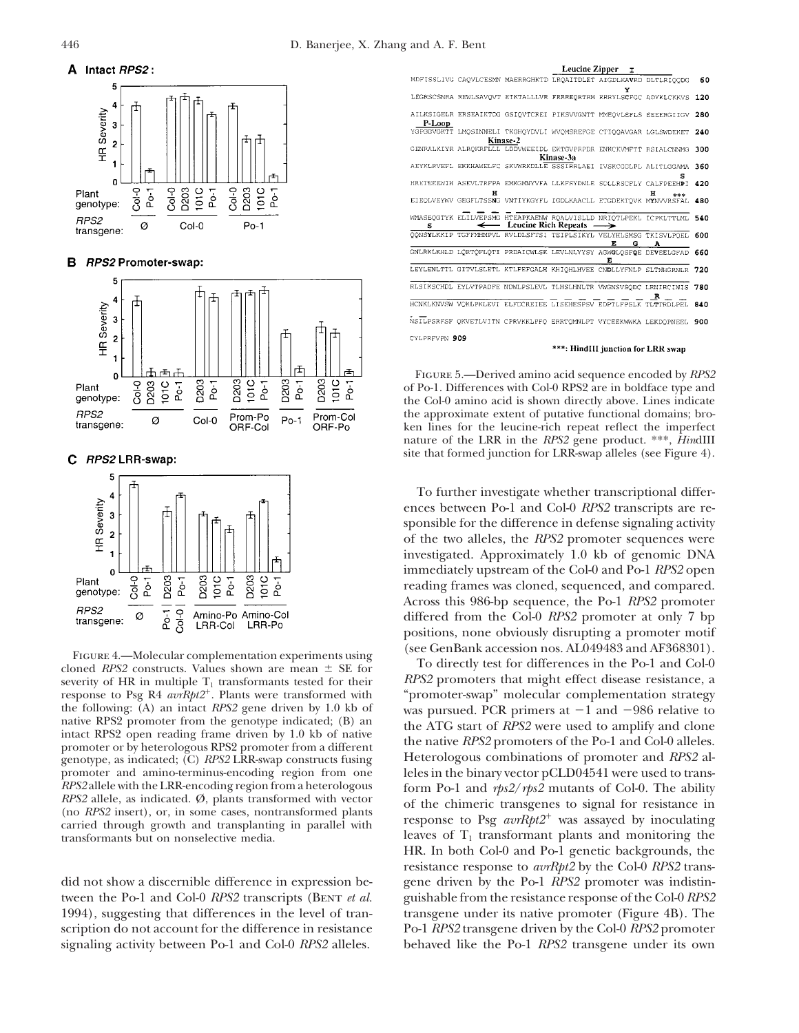

## **B** RPS2 Promoter-swap:



RPS2 LRR-swap: C.



FIGURE 4.—Molecular complementation experiments using cloned *RPS2* constructs. Values shown are mean  $\pm$  SE for To directly test for differences in the Po-1 and Col-0 severity of HR in multiple  $T_1$  transformants tested for their  $RPS2$  promoters that might effect disease resistance, a response to Psg R4 *avrRpt2*<sup>+</sup>. Plants were transformed with "promoter-swap" molecular complementation strategy the following: (A) an intact *RPS2* gene driven by 1.0 kb of was pursued. PCR primers at  $-1$  and  $-986$  relative to native RPS2 promoter from the genotype indicated; (B) an the ATC start of *PPS*2 was used to applify and native RPS2 promoter from the genotype indicated; (B) an<br>intact RPS2 open reading frame driven by 1.0 kb of native<br>promoter or by heterologous RPS2 promoter from a different<br>genotype. as indicated: (C) RPS2 LRR-swap constr genotype, as indicated; (C) *RPS2* LRR-swap constructs fusing promoter and amino-terminus-encoding region from one promoter and amino-terminus-encoding region from one leles in the binary vector pCLD04541 were used to trans-<br>RPS2 allele with the LRR-encoding region from a heterologous form Po-1 and rbs2/rbs2 mutants of Col-0. The abili *RPS2* allele with the LRR-encoding region from a heterologous form Po-1 and  $rps2/rps2$  mutants of Col-0. The ability *RPS2* allele, as indicated. Ø, plants transformed with vector (no *RPS2* insert), or, in some cases, non



Figure 5.—Derived amino acid sequence encoded by *RPS2* of Po-1. Differences with Col-0 RPS2 are in boldface type and the Col-0 amino acid is shown directly above. Lines indicate the approximate extent of putative functional domains; broken lines for the leucine-rich repeat reflect the imperfect nature of the LRR in the *RPS2* gene product. \*\*\*, *Hin*dIII site that formed junction for LRR-swap alleles (see Figure 4).

To further investigate whether transcriptional differences between Po-1 and Col-0 *RPS2* transcripts are responsible for the difference in defense signaling activity of the two alleles, the *RPS2* promoter sequences were investigated. Approximately 1.0 kb of genomic DNA immediately upstream of the Col-0 and Po-1 *RPS2* open reading frames was cloned, sequenced, and compared. Across this 986-bp sequence, the Po-1 *RPS2* promoter differed from the Col-0 *RPS2* promoter at only 7 bp positions, none obviously disrupting a promoter motif

leaves of  $T_1$  transformant plants and monitoring the HR. In both Col-0 and Po-1 genetic backgrounds, the resistance response to *avrRpt2* by the Col-0 *RPS2* transdid not show a discernible difference in expression be- gene driven by the Po-1 *RPS2* promoter was indistintween the Po-1 and Col-0 *RPS2* transcripts (Bent *et al.* guishable from the resistance response of the Col-0 *RPS2* 1994), suggesting that differences in the level of tran- transgene under its native promoter (Figure 4B). The scription do not account for the difference in resistance Po-1 *RPS2* transgene driven by the Col-0 *RPS2* promoter signaling activity between Po-1 and Col-0 *RPS2* alleles. behaved like the Po-1 *RPS2* transgene under its own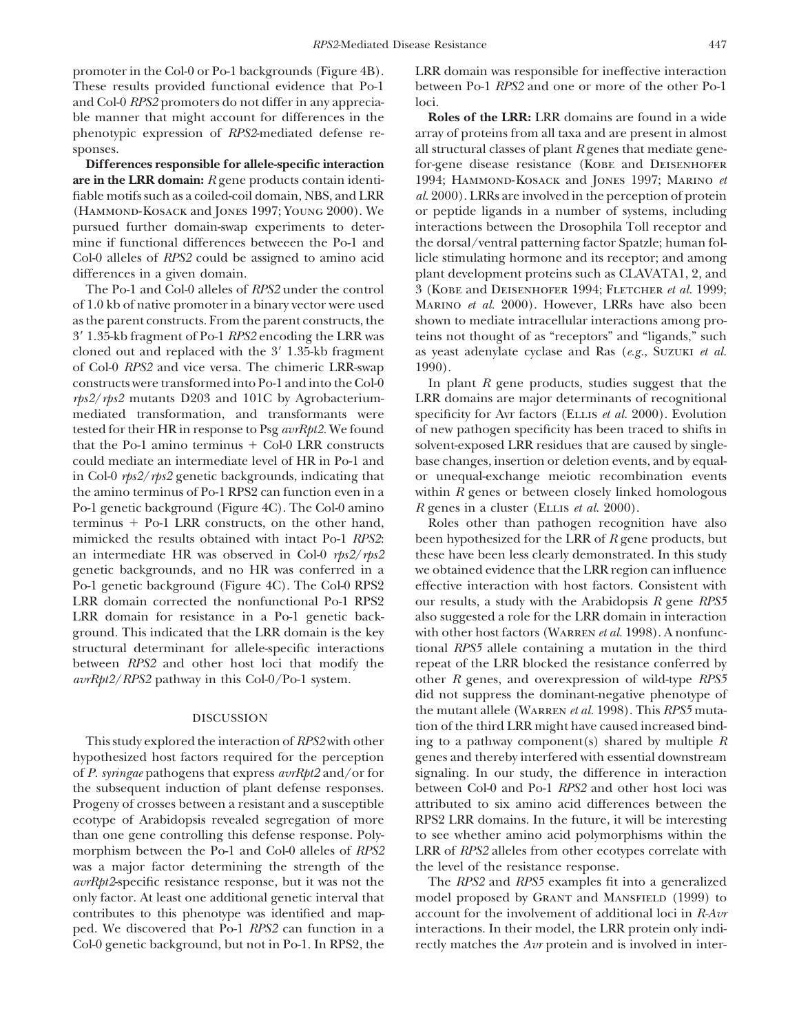promoter in the Col-0 or Po-1 backgrounds (Figure 4B). LRR domain was responsible for ineffective interaction These results provided functional evidence that Po-1 between Po-1 *RPS2* and one or more of the other Po-1 and Col-0 *RPS2* promoters do not differ in any apprecia- loci. ble manner that might account for differences in the **Roles of the LRR:** LRR domains are found in a wide

fiable motifs such as a coiled-coil domain, NBS, and LRR *al.* 2000). LRRs are involved in the perception of protein

of 1.0 kb of native promoter in a binary vector were used Marino *et al.* 2000). However, LRRs have also been as the parent constructs. From the parent constructs, the shown to mediate intracellular interactions among pro-39 1.35-kb fragment of Po-1 *RPS2* encoding the LRR was teins not thought of as "receptors" and "ligands," such cloned out and replaced with the 3' 1.35-kb fragment as yeast adenylate cyclase and Ras (*e.g.*, Suzuki *et al.*) of Col-0 *RPS2* and vice versa. The chimeric LRR-swap 1990). that the Po-1 amino terminus  $+$  Col-0 LRR constructs solvent-exposed LRR residues that are caused by single-Po-1 genetic background (Figure 4C). The Col-0 amino *R* genes in a cluster (Ellis *et al.* 2000). terminus + Po-1 LRR constructs, on the other hand, Roles other than pathogen recognition have also mimicked the results obtained with intact Po-1 *RPS2*: been hypothesized for the LRR of *R* gene products, but an intermediate HR was observed in Col-0  $rps2/rps2$  these have been less clearly demonstrated. In this study genetic backgrounds, and no HR was conferred in a we obtained evidence that the LRR region can influence Po-1 genetic background (Figure 4C). The Col-0 RPS2 effective interaction with host factors. Consistent with LRR domain corrected the nonfunctional Po-1 RPS2 our results, a study with the Arabidopsis *R* gene *RPS5* LRR domain for resistance in a Po-1 genetic back- also suggested a role for the LRR domain in interaction ground. This indicated that the LRR domain is the key with other host factors (Warren *et al.* 1998). A nonfuncstructural determinant for allele-specific interactions tional *RPS5* allele containing a mutation in the third between *RPS2* and other host loci that modify the repeat of the LRR blocked the resistance conferred by

hypothesized host factors required for the perception genes and thereby interfered with essential downstream of *P. syringae* pathogens that express *avrRpt2* and/or for signaling. In our study, the difference in interaction the subsequent induction of plant defense responses. between Col-0 and Po-1 *RPS2* and other host loci was Progeny of crosses between a resistant and a susceptible attributed to six amino acid differences between the ecotype of Arabidopsis revealed segregation of more RPS2 LRR domains. In the future, it will be interesting than one gene controlling this defense response. Poly- to see whether amino acid polymorphisms within the morphism between the Po-1 and Col-0 alleles of *RPS2* LRR of *RPS2* alleles from other ecotypes correlate with was a major factor determining the strength of the the level of the resistance response. *avrRpt2*-specific resistance response, but it was not the The *RPS2* and *RPS5* examples fit into a generalized

phenotypic expression of *RPS2*-mediated defense re- array of proteins from all taxa and are present in almost sponses. **all structural classes of plant** *R* **genes that mediate gene-Differences responsible for allele-specific interaction** for-gene disease resistance (KOBE and DEISENHOFER **are in the LRR domain:** *R* gene products contain identi- 1994; HAMMOND-KOSACK and JONES 1997; MARINO *et* (Hammond-Kosack and Jones 1997; Young 2000). We or peptide ligands in a number of systems, including pursued further domain-swap experiments to deter- interactions between the Drosophila Toll receptor and mine if functional differences betweeen the Po-1 and the dorsal/ventral patterning factor Spatzle; human fol-Col-0 alleles of *RPS2* could be assigned to amino acid licle stimulating hormone and its receptor; and among differences in a given domain. plant development proteins such as CLAVATA1, 2, and The Po-1 and Col-0 alleles of *RPS2* under the control 3 (KOBE and DEISENHOFER 1994; FLETCHER *et al.* 1999;

constructs were transformed into Po-1 and into the Col-0 In plant *R* gene products, studies suggest that the *rps2*/*rps2* mutants D203 and 101C by Agrobacterium- LRR domains are major determinants of recognitional mediated transformation, and transformants were specificity for Avr factors (Ellis *et al.* 2000). Evolution tested for their HR in response to Psg *avrRpt2.* We found of new pathogen specificity has been traced to shifts in could mediate an intermediate level of HR in Po-1 and base changes, insertion or deletion events, and by equalin Col-0 *rps2*/*rps2* genetic backgrounds, indicating that or unequal-exchange meiotic recombination events the amino terminus of Po-1 RPS2 can function even in a within *R* genes or between closely linked homologous

*avrRpt2*/*RPS2* pathway in this Col-0/Po-1 system. other *R* genes, and overexpression of wild-type *RPS5* did not suppress the dominant-negative phenotype of the mutant allele (WARREN *et al.* 1998). This *RPS5* muta-<br>tion of the third LRR might have caused increased bind-This study explored the interaction of *RPS2* with other ing to a pathway component(s) shared by multiple *R*

only factor. At least one additional genetic interval that model proposed by Grant and Mansfield (1999) to contributes to this phenotype was identified and map- account for the involvement of additional loci in *R-Avr* ped. We discovered that Po-1 *RPS2* can function in a interactions. In their model, the LRR protein only indi-Col-0 genetic background, but not in Po-1. In RPS2, the rectly matches the *Avr* protein and is involved in inter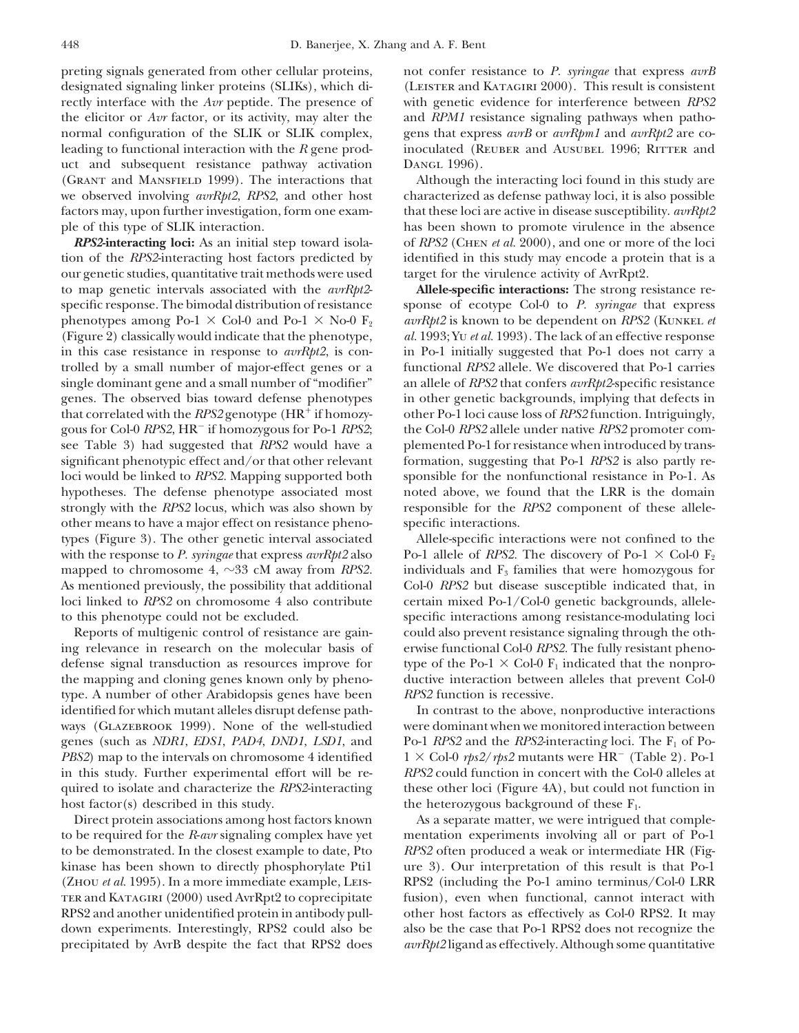preting signals generated from other cellular proteins, not confer resistance to *P. syringae* that express *avrB* designated signaling linker proteins (SLIKs), which di- (LEISTER and KATAGIRI 2000). This result is consistent rectly interface with the *Avr* peptide. The presence of with genetic evidence for interference between *RPS2* the elicitor or *Avr* factor, or its activity, may alter the and *RPM1* resistance signaling pathways when pathonormal configuration of the SLIK or SLIK complex, gens that express *avrB* or *avrRpm1* and *avrRpt2* are coleading to functional interaction with the *R* gene prod- inoculated (REUBER and AUSUBEL 1996; RITTER and uct and subsequent resistance pathway activation Dangl 1996). (Grant and Mansfield 1999). The interactions that Although the interacting loci found in this study are we observed involving *avrRpt2*, *RPS2*, and other host characterized as defense pathway loci, it is also possible factors may, upon further investigation, form one exam- that these loci are active in disease susceptibility. *avrRpt2* ple of this type of SLIK interaction. has been shown to promote virulence in the absence

tion of the *RPS2*-interacting host factors predicted by identified in this study may encode a protein that is a our genetic studies, quantitative trait methods were used target for the virulence activity of AvrRpt2. to map genetic intervals associated with the *avrRpt2*- **Allele-specific interactions:** The strong resistance respecific response. The bimodal distribution of resistance sponse of ecotype Col-0 to *P. syringae* that express phenotypes among Po-1  $\times$  Col-0 and Po-1  $\times$  No-0  $F_2$  *avrRpt2* is known to be dependent on *RPS2* (KUNKEL *et* (Figure 2) classically would indicate that the phenotype, *al.* 1993; Yu *et al.* 1993). The lack of an effective response in this case resistance in response to *avrRpt2*, is con- in Po-1 initially suggested that Po-1 does not carry a trolled by a small number of major-effect genes or a functional *RPS2* allele. We discovered that Po-1 carries single dominant gene and a small number of "modifier" an allele of *RPS2* that confers *avrRpt2*-specific resistance genes. The observed bias toward defense phenotypes in other genetic backgrounds, implying that defects in that correlated with the *RPS2* genotype (HR<sup>+</sup> if homozy- other Po-1 loci cause loss of *RPS2* function. Intriguingly, gous for Col-0 *RPS2*, HR<sup>-</sup> if homozygous for Po-1 *RPS2*; the Col-0 *RPS2* allele under native *RPS2* promoter comsee Table 3) had suggested that *RPS2* would have a plemented Po-1 for resistance when introduced by transsignificant phenotypic effect and/or that other relevant formation, suggesting that Po-1 *RPS2* is also partly reloci would be linked to *RPS2*. Mapping supported both sponsible for the nonfunctional resistance in Po-1. As hypotheses. The defense phenotype associated most noted above, we found that the LRR is the domain strongly with the *RPS2* locus, which was also shown by responsible for the *RPS2* component of these alleleother means to have a major effect on resistance pheno- specific interactions. types (Figure 3). The other genetic interval associated Allele-specific interactions were not confined to the with the response to *P. syringae* that express  $avrRpt2$  also Po-1 allele of *RPS2*. The discovery of Po-1  $\times$  Col-0 F<sub>2</sub> mapped to chromosome 4,  $\sim$ 33 cM away from *RPS2*. individuals and  $F_3$  families that were homozygous for As mentioned previously, the possibility that additional Col-0 *RPS2* but disease susceptible indicated that, in loci linked to *RPS2* on chromosome 4 also contribute certain mixed Po-1/Col-0 genetic backgrounds, alleleto this phenotype could not be excluded. specific interactions among resistance-modulating loci

ing relevance in research on the molecular basis of erwise functional Col-0 *RPS2.* The fully resistant phenodefense signal transduction as resources improve for type of the Po-1  $\times$  Col-0 F<sub>1</sub> indicated that the nonprothe mapping and cloning genes known only by pheno- ductive interaction between alleles that prevent Col-0 type. A number of other Arabidopsis genes have been *RPS2* function is recessive. identified for which mutant alleles disrupt defense path- In contrast to the above, nonproductive interactions ways (GLAZEBROOK 1999). None of the well-studied were dominant when we monitored interaction between genes (such as *NDR1*, *EDS1*, *PAD4*, *DND1*, *LSD1*, and Po-1 *RPS2* and the *RPS2*-interacting loci. The F<sub>1</sub> of Po-*PBS2*) map to the intervals on chromosome 4 identified  $1 \times$  Col-0 *rps2/rps2* mutants were HR<sup>-</sup> (Table 2). Po-1 in this study. Further experimental effort will be re- *RPS2* could function in concert with the Col-0 alleles at quired to isolate and characterize the *RPS2*-interacting these other loci (Figure 4A), but could not function in the heterozygous background of these  $F_1$ .  $\qquad \qquad$  the heterozygous background of these  $F_1$ .

to be required for the *R*-*avr* signaling complex have yet mentation experiments involving all or part of Po-1 to be demonstrated. In the closest example to date, Pto *RPS2* often produced a weak or intermediate HR (Figkinase has been shown to directly phosphorylate Pti1 ure 3). Our interpretation of this result is that Po-1 ter and Katagiri (2000) used AvrRpt2 to coprecipitate fusion), even when functional, cannot interact with RPS2 and another unidentified protein in antibody pull- other host factors as effectively as Col-0 RPS2. It may down experiments. Interestingly, RPS2 could also be also be the case that Po-1 RPS2 does not recognize the precipitated by AvrB despite the fact that RPS2 does *avrRpt2* ligand as effectively. Although some quantitative

*RPS2***-interacting loci:** As an initial step toward isola- of *RPS2* (Chen *et al.* 2000), and one or more of the loci

Reports of multigenic control of resistance are gain- could also prevent resistance signaling through the oth-

Direct protein associations among host factors known As a separate matter, we were intrigued that comple-(Zhou *et al.* 1995). In a more immediate example, Leis- RPS2 (including the Po-1 amino terminus/Col-0 LRR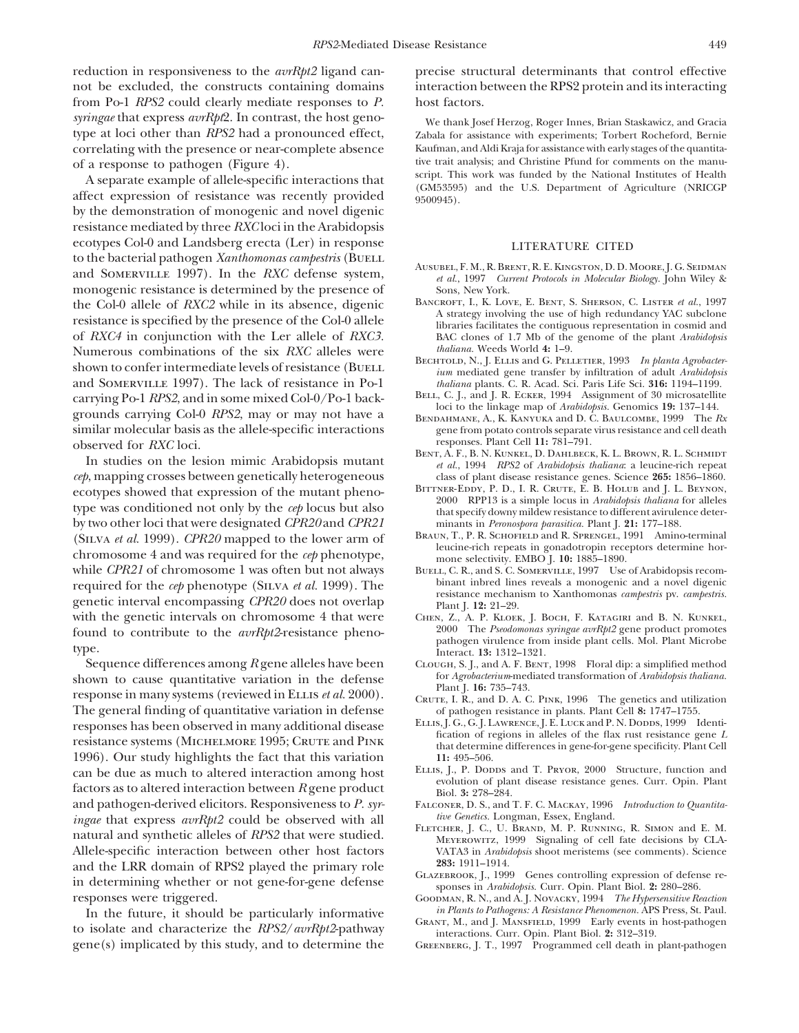reduction in responsiveness to the *avrRpt2* ligand can- precise structural determinants that control effective from Po-1 *RPS2* could clearly mediate responses to *P.* host factors. *syringae* that express *avrRpt*2. In contrast, the host geno-<br> *We thank Josef Herzog, Roger Innes, Brian Staskawicz, and Gracia*<br> *Zabala for assistance with experiments*; Torbert Rocheford, Bernie

by the demonstration of monogenic and novel digenic resistance mediated by three *RXC* loci in the Arabidopsis ecotypes Col-0 and Landsberg erecta (Ler) in response LITERATURE CITED to the bacterial pathogen *Xanthomonas campestris* (BUELL AUSUBEL, F. M., R. BRENT, R. E. KINGSTON, D. D. MOORE, J. G. SEIDMAN and SOMERVILLE 1997). In the *RXC* defense system, *et al.*, 1997 *Current Protocols in Molecular Biology*. John Wiley & monogenic resistance is determin monogenic resistance is determined by the presence of Sons, New York.<br>
Sons, New York.<br>
BANCROFT, I., K. LOVE, E. BENT, S. SHERSON, C. LISTER et al., 1997 the Col-0 allele of *RXC2* while in its absence, digenic *BANCROFT, L, K. LOVE, E. BENT, S. SHERSON, C. LISTER et al.*, 1997<br>
resistance is specified by the presence of the Col-0 allele<br>
of *RXC4* in conjunction with the L Numerous combinations of the six *RXC* alleles were *thaliana*. Weeds World 4: 1–9.<br>
BECHTOLD, N., J. ELLIS and G. PELLETTER, 1993 In planta Agrobacter-Bechtold, N., J. Ellis and G. Pelletier, <sup>1993</sup> *In planta Agrobacter-* shown to confer intermediate levels of resistance (Buell *ium* mediated gene transfer by infiltration of adult *Arabidopsis* and Somerville 1997). The lack of resistance in Po-1 *thaliana* plants. C. R. Acad. Sci. Paris Life Sci. **316:** 1194–1199. carrying Po-1 RPS2, and in some mixed Col-0/Po-1 back-<br>grounds carrying Col-0 RPS2, may or may not have a<br>BENDAHMANE, A., K. KANYUKA and D. C. BAULCOMBE, 1999 The Rx similar molecular basis as the allele-specific interactions gene from potato controls separate virus resistance and cell death<br>
observed for RXC loci responses. Plant Cell 11: 781–791.<br>BENT, A. F., B. N. KUNKEL, D. DAHLBECK, K. L. BROWN, R. L. SCHMIDT

*cep*, mapping crosses between genetically heterogeneous class of plant disease resistance genes. Science **265:** 1856–1860. ecotypes showed that expression of the mutant pheno-<br>type was conditioned not only by the *cep* locus but also<br>by two other loci that were designated *CPR20* and *CPR21*<br>by two other loci that were designated *CPR20* and by two other loci that were designated *CPR20* and *CPR21* minants in *Peronospora parasitica.* Plant J. **21:** 177–188. (SILVA *et al.* 1999). *CPR20* mapped to the lower arm of BRAUN, T., P. R. SCHOFIELD and R. SPRENCEL, 1991 Ammo-terminal<br>
chromosome 4 and was required for the *cep* phenotype,<br>
while *CPR21* of chromosome 1 was often but while *CPR21* of chromosome 1 was often but not always BUELL, C. R., and S. C. SOMERVILLE, 1997 Use of Arabidopsis recom-<br>required for the *cel* phenotype (SILVA *et al.* 1999). The binant intred lines reveals a monogenic required for the *cep* phenotype (SILVA *et al.* 1999). The bunant inbred lines reveals a monogenic and a novel digenic genetic interval encompassing CPR20 does not overlap plant [. 12: 21–29. with the genetic intervals on chromosome 4 that were CHEN, Z., A. P. KLOEK, J. BOCH, F. KATAGIRI and B. N. KUNKEL,<br>
found to contribute to the *arrRht2*-resistance pheno-<br>
2000 The *Pseodomonas syringae avrRht2* gene produ

shown to cause quantitative variation in the defense<br>response in many systems (reviewed in ELLIS *et al.* 2000).<br>The general finding of quantitative variation in defense<br>The general finding of quantitative variation in def The general finding of quantitative variation in defense of pathogen resistance in plants. Plant Cell 8: 1747–1755.<br>1999 Tenti-European opserved in many additional disease ELLIS, J. G., G. J. LAWRENCE, J. E. LUCK and P. N. responses has been observed in many additional disease<br>resistance systems (MICHELMORE 1995; CRUTE and PINK<br>1996). Our study highlights the fact that this variation 11: 495-506. 1996). Our study highlights the fact that this variation 11: 495–506.<br>
ELLIS, L. P. Dopps and T. PRYOR, 2000 Structure, function and can be due as much to altered interaction among host factors as to altered interaction between R gene product<br>and pathogen-derived elicitors. Responsiveness to P. syr-<br>and pathogen-derived elicitors. Responsiveness to P. s *tive Genetics.* Longman, Essex, England.<br>*ingae* that express *avrRpt2* could be observed with all *intercher, J. C., U. Brand, M. P. RUNNING, R. SIMON and E. M.* FLETCHER, J. C., U. C., U. Brand, M. P. Running, A. S., U. S., U. S., U. S., U. S., U. S. Signaling of cell fate decisions by CLA-<br>Allele-specific interaction between other host factors VATA3 in *Arabidopsis* shoot meriste and the LRR domain of RPS2 played the primary role<br>in determining whether or not gene-for-gene defense<br>responses were triggered. GOODMAN, R.N., and A.J. NOVACKY, 1994 The Hypersensitive Reaction

In the future, it should be particularly informative *in Plants to Pathogens: A Resistance Phenomenon*. APS Press, St. Paul.<br>to isolate and characterize the *RPS2/avrRpt2*-pathway GRANT, M., and J. MANSFIELD, 1999 Early ev gene(s) implicated by this study, and to determine the Greenberg, J. T., 1997 Programmed cell death in plant-pathogen

not be excluded, the constructs containing domains interaction between the RPS2 protein and its interacting

Zabala for assistance with experiments; Torbert Rocheford, Bernie correlating with the presence or near-complete absence Kaufman, and Aldi Kraja for assistance with early stages of the quantita-<br>
of a response to pathogen (Figure 4) the manuof a response to pathogen (Figure 4).<br>
A separate example of allele-specific interactions that<br>
affect expression of resistance was recently provided<br>
affect expression of resistance was recently provided<br>  $\frac{600945}{95009$ 

- 
- BAC clones of 1.7 Mb of the genome of the plant *Arabidopsis*
- 
- 
- 
- BENT, A. F., B. N. KUNKEL, D. DAHLBECK, K. L. BROWN, R. L. SCHMIDT<br>*et al.*, 1994 *RPS2* of *Arabidopsis thaliana*: a leucine-rich repeat<br>*b*, mapping crosses between genetically heterogeneous class of plant disease resist
	-
	-
	-
- found to contribute to the *avrRpt2*-resistance pheno-<br>type.<br>Sequence differences among R gene alleles have been the contribute of the *sedomonas synngae avrRpt2* gene product promotes<br>Sequence differences among R gene all
	- CLOUGH, S. J., and A. F. BENT, 1998 Floral dip: a simplified method for *Agrobacterium*-mediated transformation of *Arabidopsis thaliana*.
	-
	-
	-
	- FALCONER, D. S., and T. F. C. MACKAY, 1996 *Introduction to Quantita-*<br>tive Genetics. Longman, Essex, England.
	- VATA3 in *Arabidopsis* shoot meristems (see comments). Science 283: 1911–1914.
	-
	- GOODMAN, R. N., and A. J. NOVACKY, 1994 *The Hypersensitive Reaction*
	-
	-